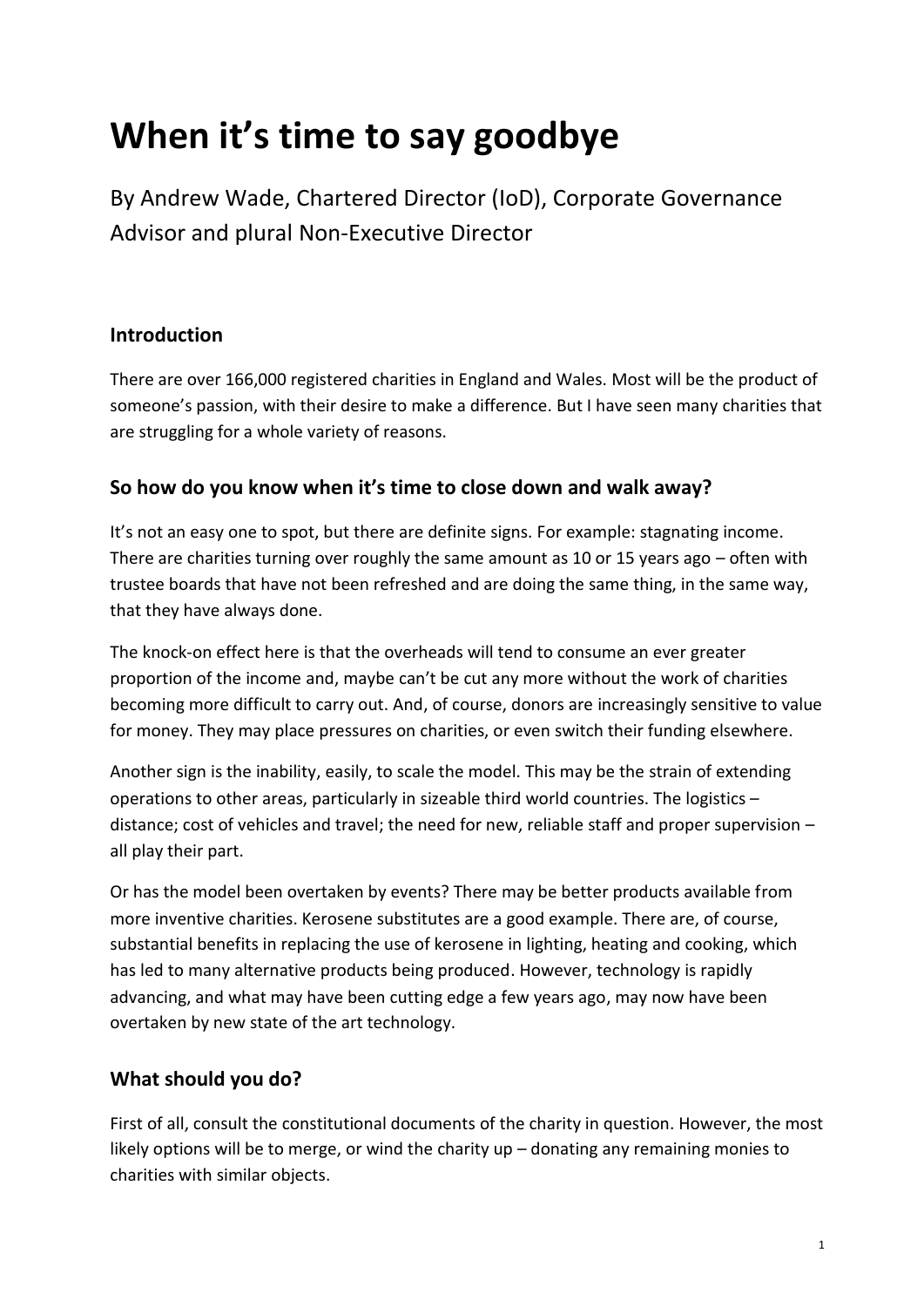# **When it's time to say goodbye**

By Andrew Wade, Chartered Director (IoD), Corporate Governance Advisor and plural Non-Executive Director

#### **Introduction**

There are over 166,000 registered charities in England and Wales. Most will be the product of someone's passion, with their desire to make a difference. But I have seen many charities that are struggling for a whole variety of reasons.

### **So how do you know when it's time to close down and walk away?**

It's not an easy one to spot, but there are definite signs. For example: stagnating income. There are charities turning over roughly the same amount as 10 or 15 years ago – often with trustee boards that have not been refreshed and are doing the same thing, in the same way, that they have always done.

The knock-on effect here is that the overheads will tend to consume an ever greater proportion of the income and, maybe can't be cut any more without the work of charities becoming more difficult to carry out. And, of course, donors are increasingly sensitive to value for money. They may place pressures on charities, or even switch their funding elsewhere.

Another sign is the inability, easily, to scale the model. This may be the strain of extending operations to other areas, particularly in sizeable third world countries. The logistics – distance; cost of vehicles and travel; the need for new, reliable staff and proper supervision – all play their part.

Or has the model been overtaken by events? There may be better products available from more inventive charities. Kerosene substitutes are a good example. There are, of course, substantial benefits in replacing the use of kerosene in lighting, heating and cooking, which has led to many alternative products being produced. However, technology is rapidly advancing, and what may have been cutting edge a few years ago, may now have been overtaken by new state of the art technology.

## **What should you do?**

First of all, consult the constitutional documents of the charity in question. However, the most likely options will be to merge, or wind the charity up – donating any remaining monies to charities with similar objects.